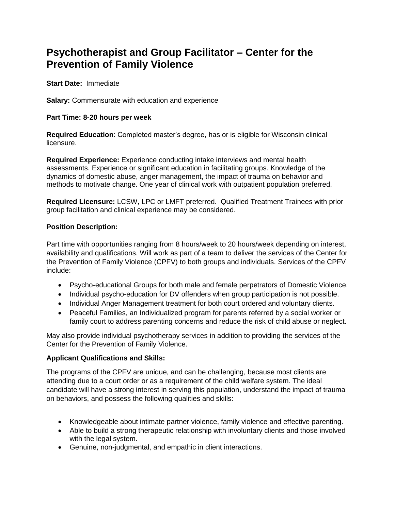# **Psychotherapist and Group Facilitator – Center for the Prevention of Family Violence**

**Start Date:** Immediate

**Salary:** Commensurate with education and experience

#### **Part Time: 8-20 hours per week**

**Required Education**: Completed master's degree, has or is eligible for Wisconsin clinical licensure.

**Required Experience:** Experience conducting intake interviews and mental health assessments. Experience or significant education in facilitating groups. Knowledge of the dynamics of domestic abuse, anger management, the impact of trauma on behavior and methods to motivate change. One year of clinical work with outpatient population preferred.

**Required Licensure:** LCSW, LPC or LMFT preferred. Qualified Treatment Trainees with prior group facilitation and clinical experience may be considered.

## **Position Description:**

Part time with opportunities ranging from 8 hours/week to 20 hours/week depending on interest, availability and qualifications. Will work as part of a team to deliver the services of the Center for the Prevention of Family Violence (CPFV) to both groups and individuals. Services of the CPFV include:

- Psycho-educational Groups for both male and female perpetrators of Domestic Violence.
- Individual psycho-education for DV offenders when group participation is not possible.
- Individual Anger Management treatment for both court ordered and voluntary clients.
- Peaceful Families, an Individualized program for parents referred by a social worker or family court to address parenting concerns and reduce the risk of child abuse or neglect.

May also provide individual psychotherapy services in addition to providing the services of the Center for the Prevention of Family Violence.

## **Applicant Qualifications and Skills:**

The programs of the CPFV are unique, and can be challenging, because most clients are attending due to a court order or as a requirement of the child welfare system. The ideal candidate will have a strong interest in serving this population, understand the impact of trauma on behaviors, and possess the following qualities and skills:

- Knowledgeable about intimate partner violence, family violence and effective parenting.
- Able to build a strong therapeutic relationship with involuntary clients and those involved with the legal system.
- Genuine, non-judgmental, and empathic in client interactions.